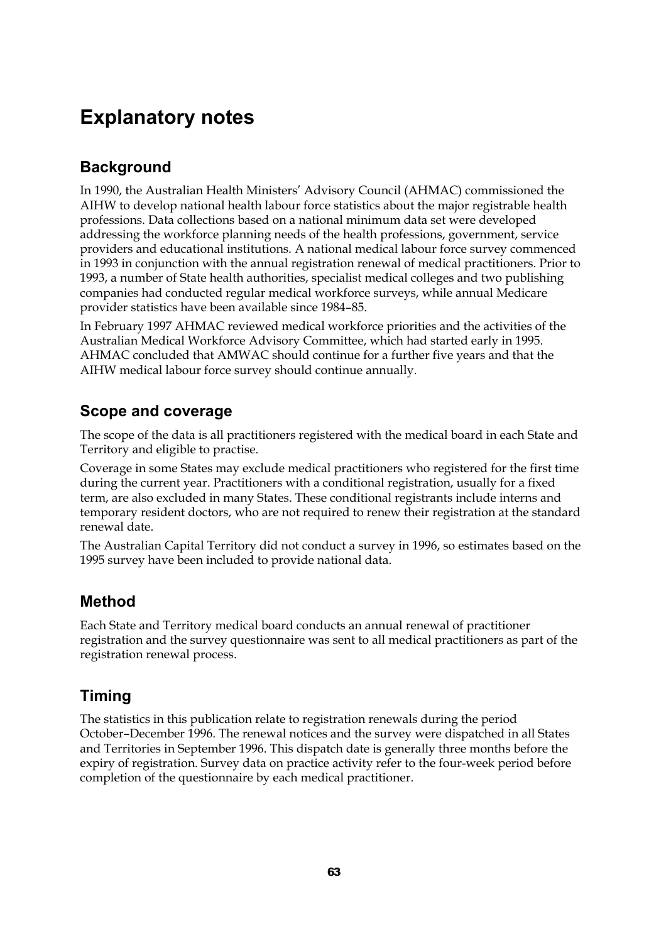# **Explanatory notes**

# **Background**

In 1990, the Australian Health Ministers' Advisory Council (AHMAC) commissioned the AIHW to develop national health labour force statistics about the major registrable health professions. Data collections based on a national minimum data set were developed addressing the workforce planning needs of the health professions, government, service providers and educational institutions. A national medical labour force survey commenced in 1993 in conjunction with the annual registration renewal of medical practitioners. Prior to 1993, a number of State health authorities, specialist medical colleges and two publishing companies had conducted regular medical workforce surveys, while annual Medicare provider statistics have been available since 1984–85.

In February 1997 AHMAC reviewed medical workforce priorities and the activities of the Australian Medical Workforce Advisory Committee, which had started early in 1995. AHMAC concluded that AMWAC should continue for a further five years and that the AIHW medical labour force survey should continue annually.

# **Scope and coverage**

The scope of the data is all practitioners registered with the medical board in each State and Territory and eligible to practise.

Coverage in some States may exclude medical practitioners who registered for the first time during the current year. Practitioners with a conditional registration, usually for a fixed term, are also excluded in many States. These conditional registrants include interns and temporary resident doctors, who are not required to renew their registration at the standard renewal date.

The Australian Capital Territory did not conduct a survey in 1996, so estimates based on the 1995 survey have been included to provide national data.

# **Method**

Each State and Territory medical board conducts an annual renewal of practitioner registration and the survey questionnaire was sent to all medical practitioners as part of the registration renewal process.

# **Timing**

The statistics in this publication relate to registration renewals during the period October–December 1996. The renewal notices and the survey were dispatched in all States and Territories in September 1996. This dispatch date is generally three months before the expiry of registration. Survey data on practice activity refer to the four-week period before completion of the questionnaire by each medical practitioner.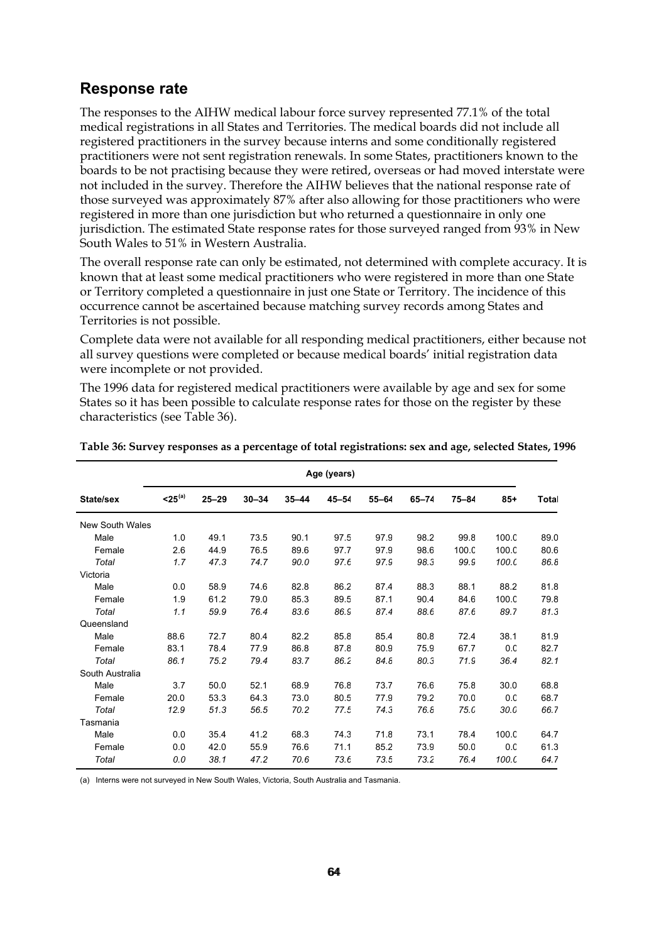## **Response rate**

The responses to the AIHW medical labour force survey represented 77.1% of the total medical registrations in all States and Territories. The medical boards did not include all registered practitioners in the survey because interns and some conditionally registered practitioners were not sent registration renewals. In some States, practitioners known to the boards to be not practising because they were retired, overseas or had moved interstate were not included in the survey. Therefore the AIHW believes that the national response rate of those surveyed was approximately 87% after also allowing for those practitioners who were registered in more than one jurisdiction but who returned a questionnaire in only one jurisdiction. The estimated State response rates for those surveyed ranged from 93% in New South Wales to 51% in Western Australia.

The overall response rate can only be estimated, not determined with complete accuracy. It is known that at least some medical practitioners who were registered in more than one State or Territory completed a questionnaire in just one State or Territory. The incidence of this occurrence cannot be ascertained because matching survey records among States and Territories is not possible.

Complete data were not available for all responding medical practitioners, either because not all survey questions were completed or because medical boards' initial registration data were incomplete or not provided.

The 1996 data for registered medical practitioners were available by age and sex for some States so it has been possible to calculate response rates for those on the register by these characteristics (see Table 36).

|                 | Age (years)     |           |           |           |           |           |           |       |                 |       |
|-----------------|-----------------|-----------|-----------|-----------|-----------|-----------|-----------|-------|-----------------|-------|
| State/sex       | $<$ 25 $^{(a)}$ | $25 - 29$ | $30 - 34$ | $35 - 44$ | $45 - 54$ | $55 - 64$ | $65 - 74$ | 75-84 | $85 +$          | Total |
| New South Wales |                 |           |           |           |           |           |           |       |                 |       |
| Male            | 1.0             | 49.1      | 73.5      | 90.1      | 97.5      | 97.9      | 98.2      | 99.8  | 100.C           | 89.0  |
| Female          | 2.6             | 44.9      | 76.5      | 89.6      | 97.7      | 97.9      | 98.6      | 100.C | 100.C           | 80.6  |
| Total           | 1.7             | 47.3      | 74.7      | 90.0      | 97.6      | 97.9      | 98.3      | 99.S  | 100.C           | 86.8  |
| Victoria        |                 |           |           |           |           |           |           |       |                 |       |
| Male            | 0.0             | 58.9      | 74.6      | 82.8      | 86.2      | 87.4      | 88.3      | 88.1  | 88.2            | 81.8  |
| Female          | 1.9             | 61.2      | 79.0      | 85.3      | 89.5      | 87.1      | 90.4      | 84.6  | 100.C           | 79.8  |
| Total           | 1.1             | 59.9      | 76.4      | 83.6      | 86.9      | 87.4      | 88.6      | 87.6  | 89.7            | 81.3  |
| Queensland      |                 |           |           |           |           |           |           |       |                 |       |
| Male            | 88.6            | 72.7      | 80.4      | 82.2      | 85.8      | 85.4      | 80.8      | 72.4  | 38.1            | 81.9  |
| Female          | 83.1            | 78.4      | 77.9      | 86.8      | 87.8      | 80.9      | 75.9      | 67.7  | 0. <sub>C</sub> | 82.7  |
| Total           | 86.1            | 75.2      | 79.4      | 83.7      | 86.2      | 84.8      | 80.3      | 71.9  | 36.4            | 82.1  |
| South Australia |                 |           |           |           |           |           |           |       |                 |       |
| Male            | 3.7             | 50.0      | 52.1      | 68.9      | 76.8      | 73.7      | 76.6      | 75.8  | 30.0            | 68.8  |
| Female          | 20.0            | 53.3      | 64.3      | 73.0      | 80.5      | 77.9      | 79.2      | 70.0  | 0. <sub>C</sub> | 68.7  |
| Total           | 12.9            | 51.3      | 56.5      | 70.2      | 77.5      | 74.3      | 76.8      | 75.0  | 30.C            | 66.7  |
| Tasmania        |                 |           |           |           |           |           |           |       |                 |       |
| Male            | 0.0             | 35.4      | 41.2      | 68.3      | 74.3      | 71.8      | 73.1      | 78.4  | 100.C           | 64.7  |
| Female          | 0.0             | 42.0      | 55.9      | 76.6      | 71.1      | 85.2      | 73.9      | 50.0  | 0 <sub>c</sub>  | 61.3  |
| Total           | 0.0             | 38.1      | 47.2      | 70.6      | 73.6      | 73.5      | 73.2      | 76.4  | 100.C           | 64.7  |

**Table 36: Survey responses as a percentage of total registrations: sex and age, selected States, 1996**

(a) Interns were not surveyed in New South Wales, Victoria, South Australia and Tasmania.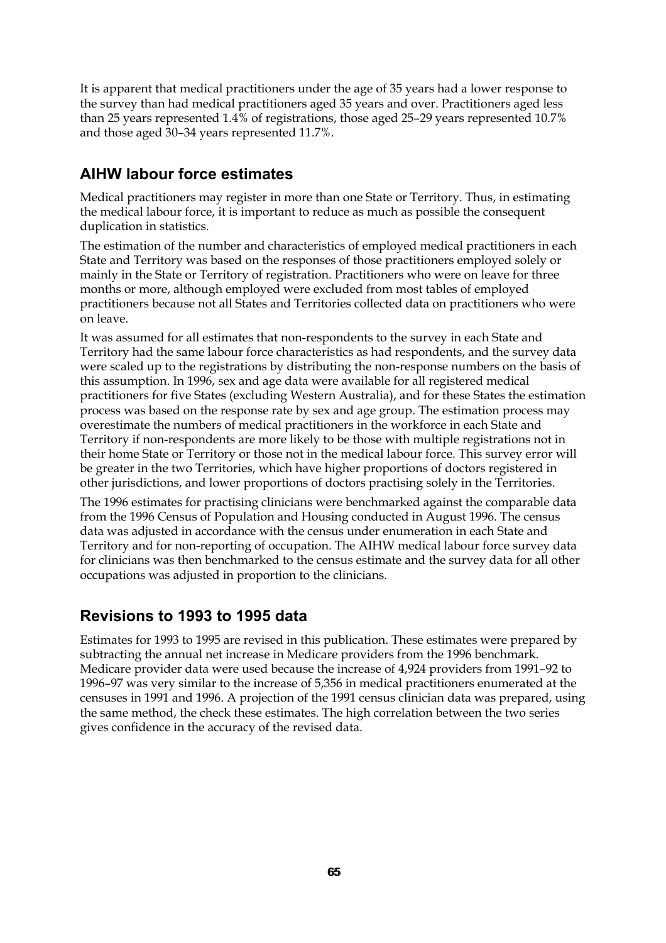It is apparent that medical practitioners under the age of 35 years had a lower response to the survey than had medical practitioners aged 35 years and over. Practitioners aged less than 25 years represented 1.4% of registrations, those aged 25–29 years represented 10.7% and those aged 30–34 years represented 11.7%.

## **AIHW labour force estimates**

Medical practitioners may register in more than one State or Territory. Thus, in estimating the medical labour force, it is important to reduce as much as possible the consequent duplication in statistics.

The estimation of the number and characteristics of employed medical practitioners in each State and Territory was based on the responses of those practitioners employed solely or mainly in the State or Territory of registration. Practitioners who were on leave for three months or more, although employed were excluded from most tables of employed practitioners because not all States and Territories collected data on practitioners who were on leave.

It was assumed for all estimates that non-respondents to the survey in each State and Territory had the same labour force characteristics as had respondents, and the survey data were scaled up to the registrations by distributing the non-response numbers on the basis of this assumption. In 1996, sex and age data were available for all registered medical practitioners for five States (excluding Western Australia), and for these States the estimation process was based on the response rate by sex and age group. The estimation process may overestimate the numbers of medical practitioners in the workforce in each State and Territory if non-respondents are more likely to be those with multiple registrations not in their home State or Territory or those not in the medical labour force. This survey error will be greater in the two Territories, which have higher proportions of doctors registered in other jurisdictions, and lower proportions of doctors practising solely in the Territories.

The 1996 estimates for practising clinicians were benchmarked against the comparable data from the 1996 Census of Population and Housing conducted in August 1996. The census data was adjusted in accordance with the census under enumeration in each State and Territory and for non-reporting of occupation. The AIHW medical labour force survey data for clinicians was then benchmarked to the census estimate and the survey data for all other occupations was adjusted in proportion to the clinicians.

## **Revisions to 1993 to 1995 data**

Estimates for 1993 to 1995 are revised in this publication. These estimates were prepared by subtracting the annual net increase in Medicare providers from the 1996 benchmark. Medicare provider data were used because the increase of 4,924 providers from 1991–92 to 1996–97 was very similar to the increase of 5,356 in medical practitioners enumerated at the censuses in 1991 and 1996. A projection of the 1991 census clinician data was prepared, using the same method, the check these estimates. The high correlation between the two series gives confidence in the accuracy of the revised data.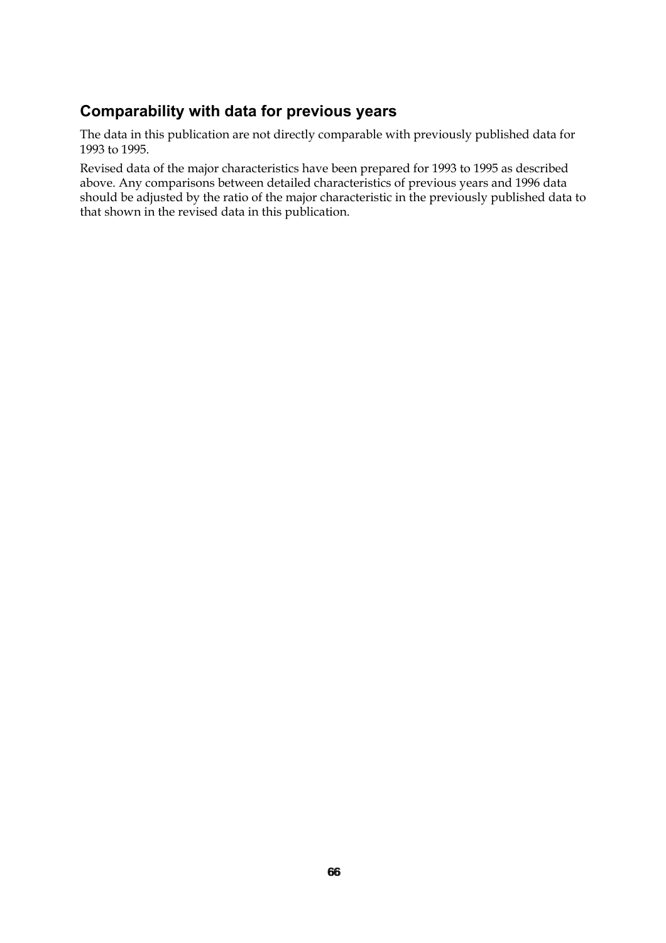# **Comparability with data for previous years**

The data in this publication are not directly comparable with previously published data for 1993 to 1995.

Revised data of the major characteristics have been prepared for 1993 to 1995 as described above. Any comparisons between detailed characteristics of previous years and 1996 data should be adjusted by the ratio of the major characteristic in the previously published data to that shown in the revised data in this publication.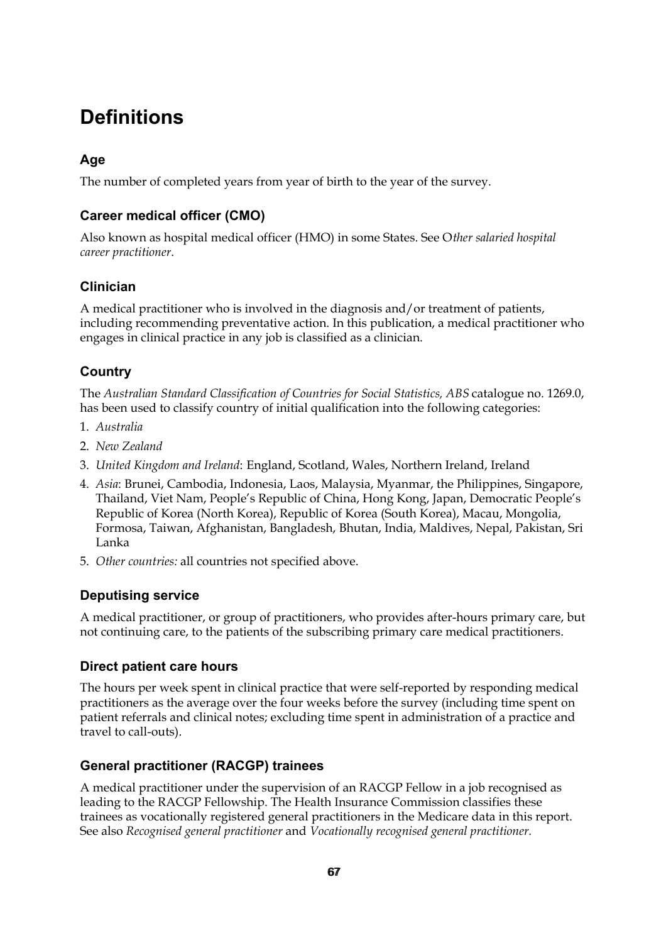# **Definitions**

## **Age**

The number of completed years from year of birth to the year of the survey.

## **Career medical officer (CMO)**

Also known as hospital medical officer (HMO) in some States. See O*ther salaried hospital career practitioner*.

## **Clinician**

A medical practitioner who is involved in the diagnosis and/or treatment of patients, including recommending preventative action. In this publication, a medical practitioner who engages in clinical practice in any job is classified as a clinician.

## **Country**

The *Australian Standard Classification of Countries for Social Statistics, ABS* catalogue no. 1269.0, has been used to classify country of initial qualification into the following categories:

- 1. *Australia*
- 2. *New Zealand*
- 3. *United Kingdom and Ireland*: England, Scotland, Wales, Northern Ireland, Ireland
- 4. *Asia*: Brunei, Cambodia, Indonesia, Laos, Malaysia, Myanmar, the Philippines, Singapore, Thailand, Viet Nam, People's Republic of China, Hong Kong, Japan, Democratic People's Republic of Korea (North Korea), Republic of Korea (South Korea), Macau, Mongolia, Formosa, Taiwan, Afghanistan, Bangladesh, Bhutan, India, Maldives, Nepal, Pakistan, Sri Lanka
- 5. *Other countries:* all countries not specified above.

## **Deputising service**

A medical practitioner, or group of practitioners, who provides after-hours primary care, but not continuing care, to the patients of the subscribing primary care medical practitioners.

## **Direct patient care hours**

The hours per week spent in clinical practice that were self-reported by responding medical practitioners as the average over the four weeks before the survey (including time spent on patient referrals and clinical notes; excluding time spent in administration of a practice and travel to call-outs).

## **General practitioner (RACGP) trainees**

A medical practitioner under the supervision of an RACGP Fellow in a job recognised as leading to the RACGP Fellowship. The Health Insurance Commission classifies these trainees as vocationally registered general practitioners in the Medicare data in this report. See also *Recognised general practitioner* and *Vocationally recognised general practitioner.*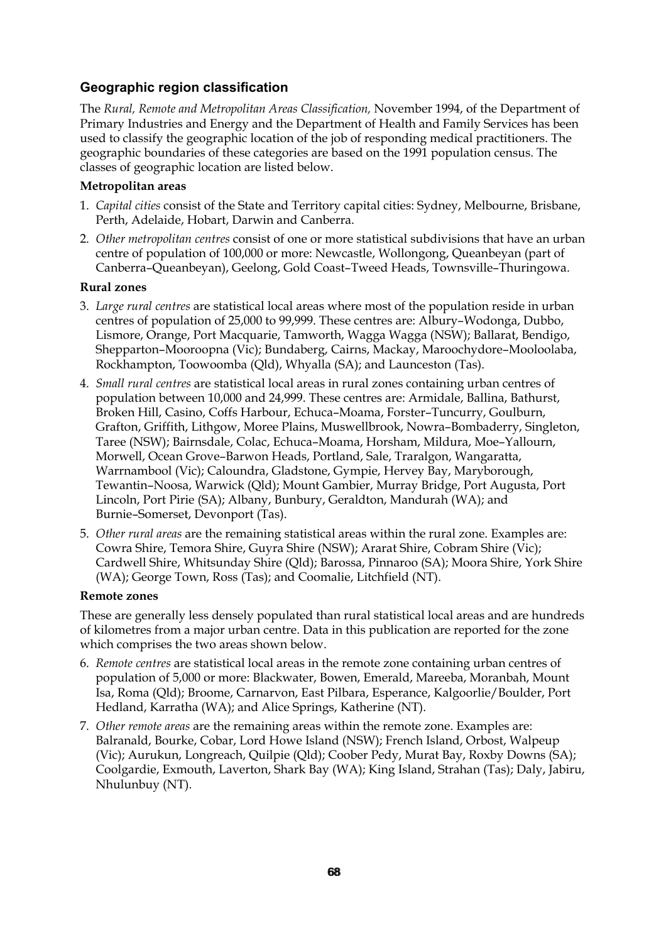### **Geographic region classification**

The *Rural, Remote and Metropolitan Areas Classification,* November 1994, of the Department of Primary Industries and Energy and the Department of Health and Family Services has been used to classify the geographic location of the job of responding medical practitioners. The geographic boundaries of these categories are based on the 1991 population census. The classes of geographic location are listed below.

#### **Metropolitan areas**

- 1. *Capital cities* consist of the State and Territory capital cities: Sydney, Melbourne, Brisbane, Perth, Adelaide, Hobart, Darwin and Canberra.
- 2. *Other metropolitan centres* consist of one or more statistical subdivisions that have an urban centre of population of 100,000 or more: Newcastle, Wollongong, Queanbeyan (part of Canberra–Queanbeyan), Geelong, Gold Coast–Tweed Heads, Townsville–Thuringowa.

#### **Rural zones**

- 3. *Large rural centres* are statistical local areas where most of the population reside in urban centres of population of 25,000 to 99,999. These centres are: Albury–Wodonga, Dubbo, Lismore, Orange, Port Macquarie, Tamworth, Wagga Wagga (NSW); Ballarat, Bendigo, Shepparton–Mooroopna (Vic); Bundaberg, Cairns, Mackay, Maroochydore–Mooloolaba, Rockhampton, Toowoomba (Qld), Whyalla (SA); and Launceston (Tas).
- 4. *Small rural centres* are statistical local areas in rural zones containing urban centres of population between 10,000 and 24,999. These centres are: Armidale, Ballina, Bathurst, Broken Hill, Casino, Coffs Harbour, Echuca–Moama, Forster–Tuncurry, Goulburn, Grafton, Griffith, Lithgow, Moree Plains, Muswellbrook, Nowra–Bombaderry, Singleton, Taree (NSW); Bairnsdale, Colac, Echuca–Moama, Horsham, Mildura, Moe–Yallourn, Morwell, Ocean Grove–Barwon Heads, Portland, Sale, Traralgon, Wangaratta, Warrnambool (Vic); Caloundra, Gladstone, Gympie, Hervey Bay, Maryborough, Tewantin–Noosa, Warwick (Qld); Mount Gambier, Murray Bridge, Port Augusta, Port Lincoln, Port Pirie (SA); Albany, Bunbury, Geraldton, Mandurah (WA); and Burnie–Somerset, Devonport (Tas).
- 5. *Other rural areas* are the remaining statistical areas within the rural zone. Examples are: Cowra Shire, Temora Shire, Guyra Shire (NSW); Ararat Shire, Cobram Shire (Vic); Cardwell Shire, Whitsunday Shire (Qld); Barossa, Pinnaroo (SA); Moora Shire, York Shire (WA); George Town, Ross (Tas); and Coomalie, Litchfield (NT).

#### **Remote zones**

These are generally less densely populated than rural statistical local areas and are hundreds of kilometres from a major urban centre. Data in this publication are reported for the zone which comprises the two areas shown below.

- 6. *Remote centres* are statistical local areas in the remote zone containing urban centres of population of 5,000 or more: Blackwater, Bowen, Emerald, Mareeba, Moranbah, Mount Isa, Roma (Qld); Broome, Carnarvon, East Pilbara, Esperance, Kalgoorlie/Boulder, Port Hedland, Karratha (WA); and Alice Springs, Katherine (NT).
- 7. *Other remote areas* are the remaining areas within the remote zone. Examples are: Balranald, Bourke, Cobar, Lord Howe Island (NSW); French Island, Orbost, Walpeup (Vic); Aurukun, Longreach, Quilpie (Qld); Coober Pedy, Murat Bay, Roxby Downs (SA); Coolgardie, Exmouth, Laverton, Shark Bay (WA); King Island, Strahan (Tas); Daly, Jabiru, Nhulunbuy (NT).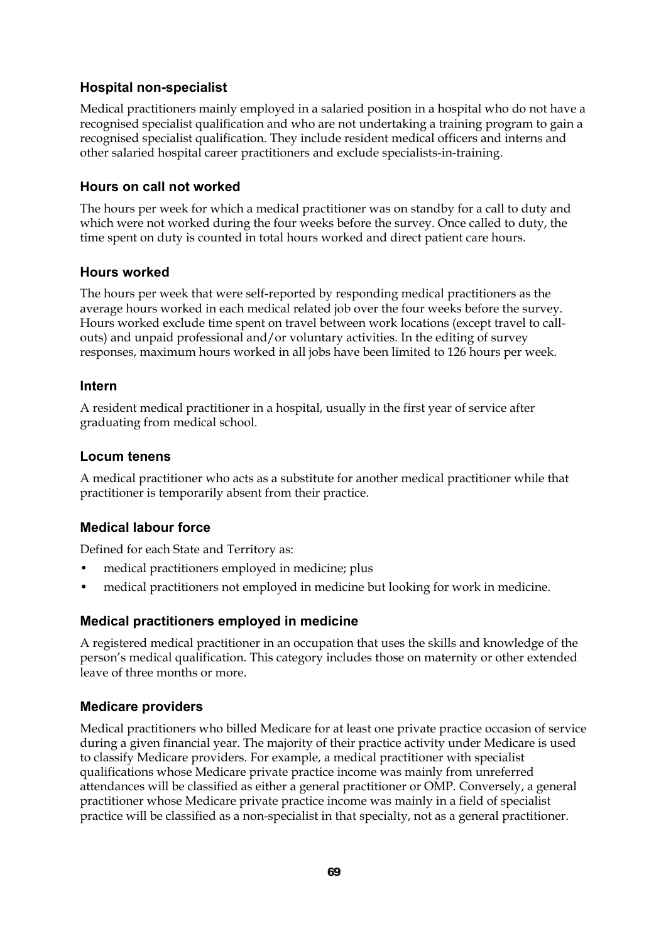#### **Hospital non-specialist**

Medical practitioners mainly employed in a salaried position in a hospital who do not have a recognised specialist qualification and who are not undertaking a training program to gain a recognised specialist qualification. They include resident medical officers and interns and other salaried hospital career practitioners and exclude specialists-in-training.

#### **Hours on call not worked**

The hours per week for which a medical practitioner was on standby for a call to duty and which were not worked during the four weeks before the survey. Once called to duty, the time spent on duty is counted in total hours worked and direct patient care hours.

#### **Hours worked**

The hours per week that were self-reported by responding medical practitioners as the average hours worked in each medical related job over the four weeks before the survey. Hours worked exclude time spent on travel between work locations (except travel to callouts) and unpaid professional and/or voluntary activities. In the editing of survey responses, maximum hours worked in all jobs have been limited to 126 hours per week.

#### **Intern**

A resident medical practitioner in a hospital, usually in the first year of service after graduating from medical school.

#### **Locum tenens**

A medical practitioner who acts as a substitute for another medical practitioner while that practitioner is temporarily absent from their practice.

## **Medical labour force**

Defined for each State and Territory as:

- medical practitioners employed in medicine; plus
- medical practitioners not employed in medicine but looking for work in medicine.

#### **Medical practitioners employed in medicine**

A registered medical practitioner in an occupation that uses the skills and knowledge of the person's medical qualification. This category includes those on maternity or other extended leave of three months or more.

#### **Medicare providers**

Medical practitioners who billed Medicare for at least one private practice occasion of service during a given financial year. The majority of their practice activity under Medicare is used to classify Medicare providers. For example, a medical practitioner with specialist qualifications whose Medicare private practice income was mainly from unreferred attendances will be classified as either a general practitioner or OMP. Conversely, a general practitioner whose Medicare private practice income was mainly in a field of specialist practice will be classified as a non-specialist in that specialty, not as a general practitioner.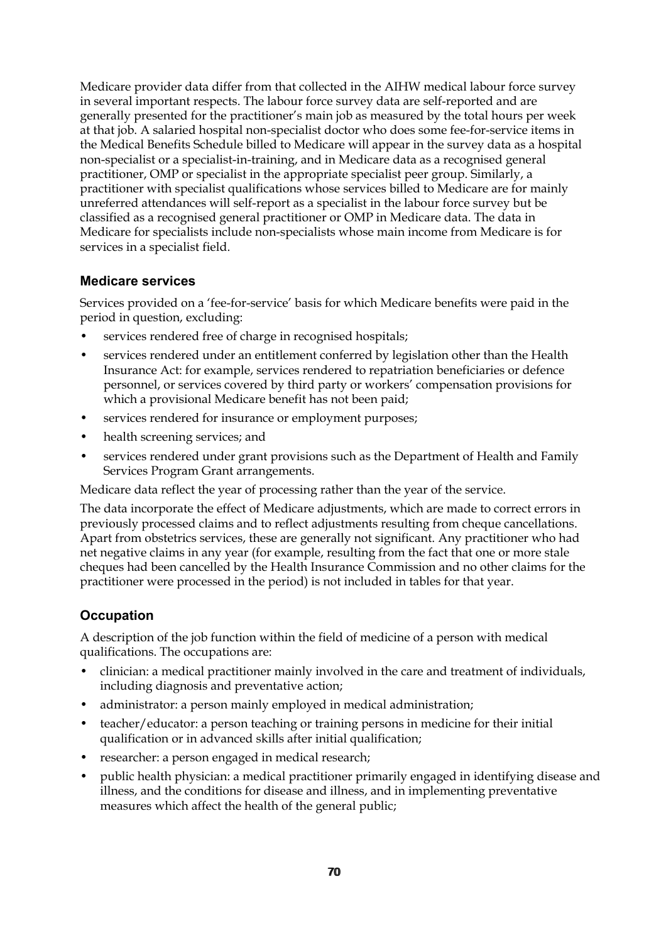Medicare provider data differ from that collected in the AIHW medical labour force survey in several important respects. The labour force survey data are self-reported and are generally presented for the practitioner's main job as measured by the total hours per week at that job. A salaried hospital non-specialist doctor who does some fee-for-service items in the Medical Benefits Schedule billed to Medicare will appear in the survey data as a hospital non-specialist or a specialist-in-training, and in Medicare data as a recognised general practitioner, OMP or specialist in the appropriate specialist peer group. Similarly, a practitioner with specialist qualifications whose services billed to Medicare are for mainly unreferred attendances will self-report as a specialist in the labour force survey but be classified as a recognised general practitioner or OMP in Medicare data. The data in Medicare for specialists include non-specialists whose main income from Medicare is for services in a specialist field.

#### **Medicare services**

Services provided on a 'fee-for-service' basis for which Medicare benefits were paid in the period in question, excluding:

- services rendered free of charge in recognised hospitals;
- services rendered under an entitlement conferred by legislation other than the Health Insurance Act: for example, services rendered to repatriation beneficiaries or defence personnel, or services covered by third party or workers' compensation provisions for which a provisional Medicare benefit has not been paid;
- services rendered for insurance or employment purposes;
- health screening services; and
- services rendered under grant provisions such as the Department of Health and Family Services Program Grant arrangements.

Medicare data reflect the year of processing rather than the year of the service.

The data incorporate the effect of Medicare adjustments, which are made to correct errors in previously processed claims and to reflect adjustments resulting from cheque cancellations. Apart from obstetrics services, these are generally not significant. Any practitioner who had net negative claims in any year (for example, resulting from the fact that one or more stale cheques had been cancelled by the Health Insurance Commission and no other claims for the practitioner were processed in the period) is not included in tables for that year.

#### **Occupation**

A description of the job function within the field of medicine of a person with medical qualifications. The occupations are:

- clinician: a medical practitioner mainly involved in the care and treatment of individuals, including diagnosis and preventative action;
- administrator: a person mainly employed in medical administration:
- teacher/educator: a person teaching or training persons in medicine for their initial qualification or in advanced skills after initial qualification;
- researcher: a person engaged in medical research;
- public health physician: a medical practitioner primarily engaged in identifying disease and illness, and the conditions for disease and illness, and in implementing preventative measures which affect the health of the general public;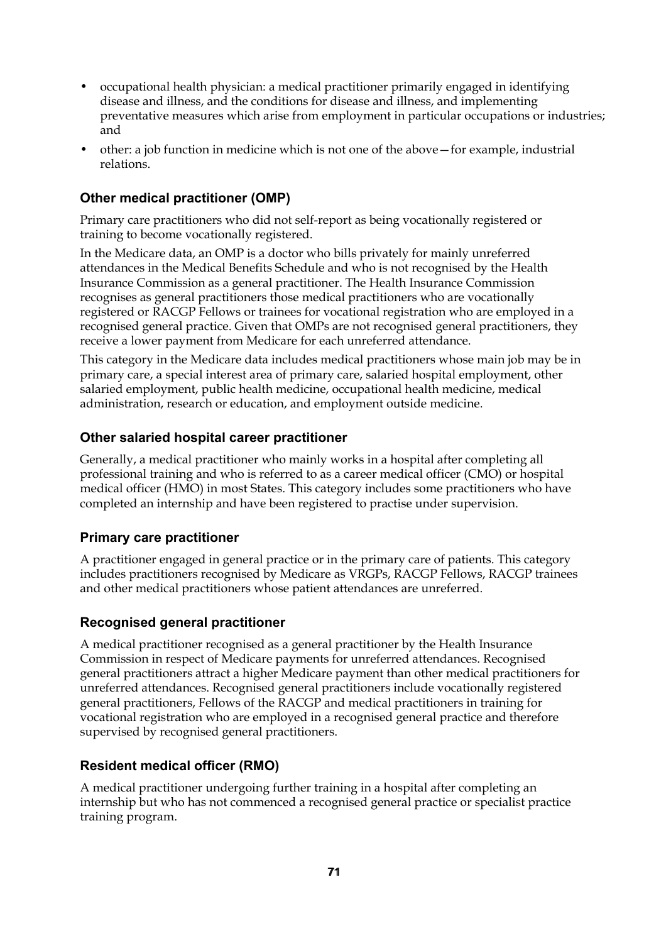- occupational health physician: a medical practitioner primarily engaged in identifying disease and illness, and the conditions for disease and illness, and implementing preventative measures which arise from employment in particular occupations or industries; and
- other: a job function in medicine which is not one of the above—for example, industrial relations.

## **Other medical practitioner (OMP)**

Primary care practitioners who did not self-report as being vocationally registered or training to become vocationally registered.

In the Medicare data, an OMP is a doctor who bills privately for mainly unreferred attendances in the Medical Benefits Schedule and who is not recognised by the Health Insurance Commission as a general practitioner. The Health Insurance Commission recognises as general practitioners those medical practitioners who are vocationally registered or RACGP Fellows or trainees for vocational registration who are employed in a recognised general practice. Given that OMPs are not recognised general practitioners, they receive a lower payment from Medicare for each unreferred attendance.

This category in the Medicare data includes medical practitioners whose main job may be in primary care, a special interest area of primary care, salaried hospital employment, other salaried employment, public health medicine, occupational health medicine, medical administration, research or education, and employment outside medicine.

#### **Other salaried hospital career practitioner**

Generally, a medical practitioner who mainly works in a hospital after completing all professional training and who is referred to as a career medical officer (CMO) or hospital medical officer (HMO) in most States. This category includes some practitioners who have completed an internship and have been registered to practise under supervision.

#### **Primary care practitioner**

A practitioner engaged in general practice or in the primary care of patients. This category includes practitioners recognised by Medicare as VRGPs, RACGP Fellows, RACGP trainees and other medical practitioners whose patient attendances are unreferred.

#### **Recognised general practitioner**

A medical practitioner recognised as a general practitioner by the Health Insurance Commission in respect of Medicare payments for unreferred attendances. Recognised general practitioners attract a higher Medicare payment than other medical practitioners for unreferred attendances. Recognised general practitioners include vocationally registered general practitioners, Fellows of the RACGP and medical practitioners in training for vocational registration who are employed in a recognised general practice and therefore supervised by recognised general practitioners.

#### **Resident medical officer (RMO)**

A medical practitioner undergoing further training in a hospital after completing an internship but who has not commenced a recognised general practice or specialist practice training program.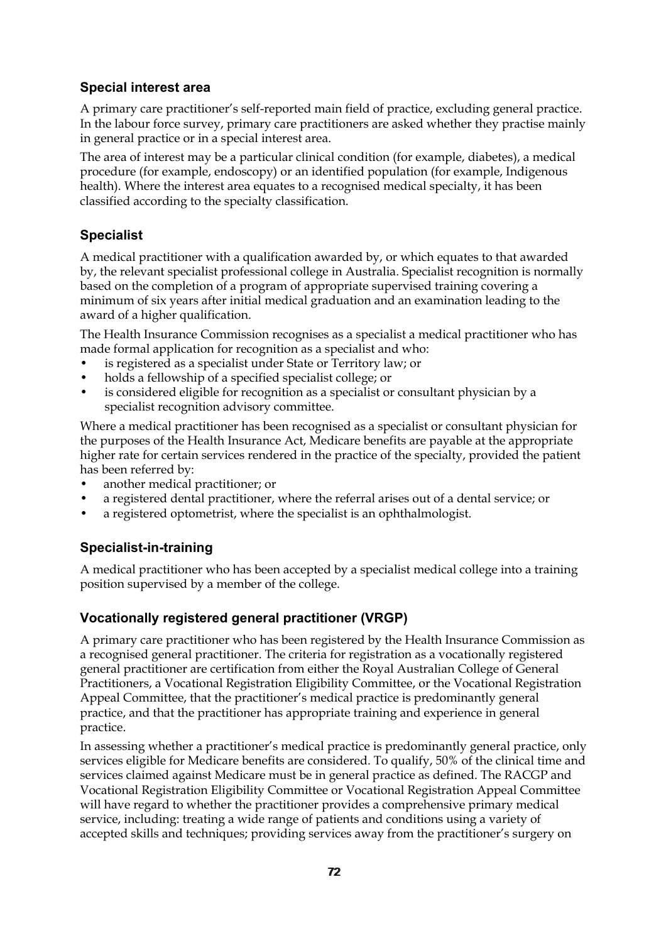### **Special interest area**

A primary care practitioner's self-reported main field of practice, excluding general practice. In the labour force survey, primary care practitioners are asked whether they practise mainly in general practice or in a special interest area.

The area of interest may be a particular clinical condition (for example, diabetes), a medical procedure (for example, endoscopy) or an identified population (for example, Indigenous health). Where the interest area equates to a recognised medical specialty, it has been classified according to the specialty classification.

## **Specialist**

A medical practitioner with a qualification awarded by, or which equates to that awarded by, the relevant specialist professional college in Australia. Specialist recognition is normally based on the completion of a program of appropriate supervised training covering a minimum of six years after initial medical graduation and an examination leading to the award of a higher qualification.

The Health Insurance Commission recognises as a specialist a medical practitioner who has made formal application for recognition as a specialist and who:

- is registered as a specialist under State or Territory law; or
- holds a fellowship of a specified specialist college; or
- is considered eligible for recognition as a specialist or consultant physician by a specialist recognition advisory committee.

Where a medical practitioner has been recognised as a specialist or consultant physician for the purposes of the Health Insurance Act, Medicare benefits are payable at the appropriate higher rate for certain services rendered in the practice of the specialty, provided the patient has been referred by:

- another medical practitioner; or
- a registered dental practitioner, where the referral arises out of a dental service; or
- a registered optometrist, where the specialist is an ophthalmologist.

## **Specialist-in-training**

A medical practitioner who has been accepted by a specialist medical college into a training position supervised by a member of the college.

## **Vocationally registered general practitioner (VRGP)**

A primary care practitioner who has been registered by the Health Insurance Commission as a recognised general practitioner. The criteria for registration as a vocationally registered general practitioner are certification from either the Royal Australian College of General Practitioners, a Vocational Registration Eligibility Committee, or the Vocational Registration Appeal Committee, that the practitioner's medical practice is predominantly general practice, and that the practitioner has appropriate training and experience in general practice.

In assessing whether a practitioner's medical practice is predominantly general practice, only services eligible for Medicare benefits are considered. To qualify, 50% of the clinical time and services claimed against Medicare must be in general practice as defined. The RACGP and Vocational Registration Eligibility Committee or Vocational Registration Appeal Committee will have regard to whether the practitioner provides a comprehensive primary medical service, including: treating a wide range of patients and conditions using a variety of accepted skills and techniques; providing services away from the practitioner's surgery on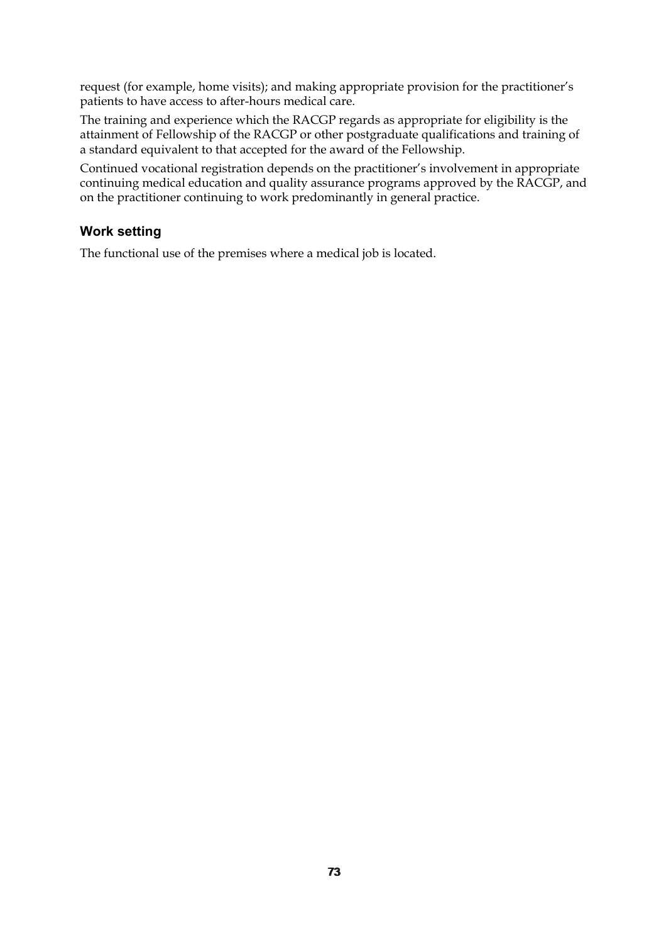request (for example, home visits); and making appropriate provision for the practitioner's patients to have access to after-hours medical care.

The training and experience which the RACGP regards as appropriate for eligibility is the attainment of Fellowship of the RACGP or other postgraduate qualifications and training of a standard equivalent to that accepted for the award of the Fellowship.

Continued vocational registration depends on the practitioner's involvement in appropriate continuing medical education and quality assurance programs approved by the RACGP, and on the practitioner continuing to work predominantly in general practice.

#### **Work setting**

The functional use of the premises where a medical job is located.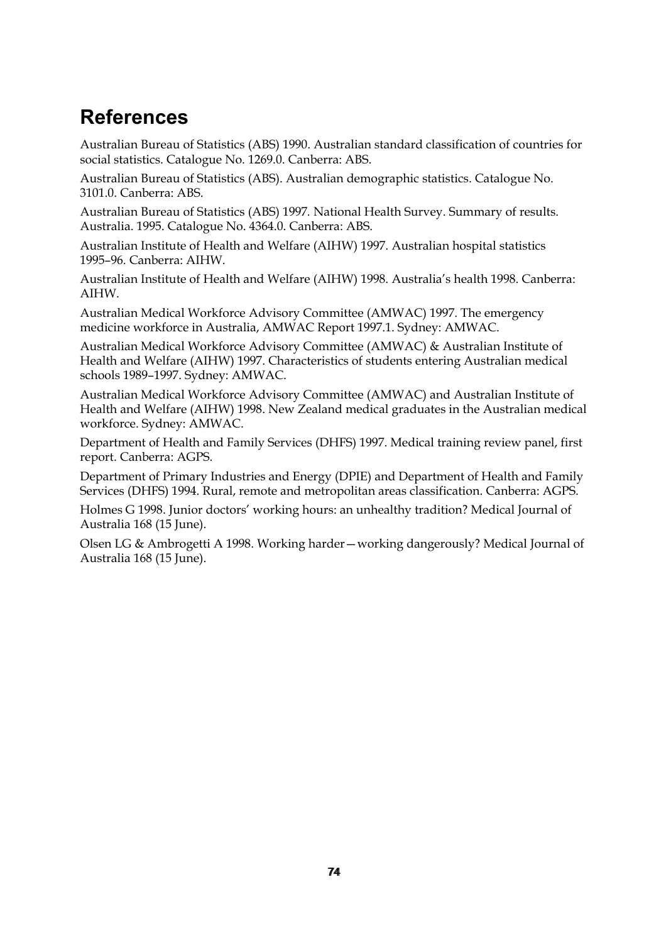# **References**

Australian Bureau of Statistics (ABS) 1990. Australian standard classification of countries for social statistics. Catalogue No. 1269.0. Canberra: ABS.

Australian Bureau of Statistics (ABS). Australian demographic statistics. Catalogue No. 3101.0. Canberra: ABS.

Australian Bureau of Statistics (ABS) 1997*.* National Health Survey. Summary of results. Australia. 1995. Catalogue No. 4364.0. Canberra: ABS.

Australian Institute of Health and Welfare (AIHW) 1997. Australian hospital statistics 1995–96. Canberra: AIHW.

Australian Institute of Health and Welfare (AIHW) 1998. Australia's health 1998. Canberra: AIHW.

Australian Medical Workforce Advisory Committee (AMWAC) 1997. The emergency medicine workforce in Australia, AMWAC Report 1997.1. Sydney: AMWAC.

Australian Medical Workforce Advisory Committee (AMWAC) & Australian Institute of Health and Welfare (AIHW) 1997. Characteristics of students entering Australian medical schools 1989–1997. Sydney: AMWAC.

Australian Medical Workforce Advisory Committee (AMWAC) and Australian Institute of Health and Welfare (AIHW) 1998. New Zealand medical graduates in the Australian medical workforce. Sydney: AMWAC.

Department of Health and Family Services (DHFS) 1997. Medical training review panel, first report. Canberra: AGPS.

Department of Primary Industries and Energy (DPIE) and Department of Health and Family Services (DHFS) 1994. Rural, remote and metropolitan areas classification. Canberra: AGPS.

Holmes G 1998. Junior doctors' working hours: an unhealthy tradition? Medical Journal of Australia 168 (15 June).

Olsen LG & Ambrogetti A 1998. Working harder—working dangerously? Medical Journal of Australia 168 (15 June).